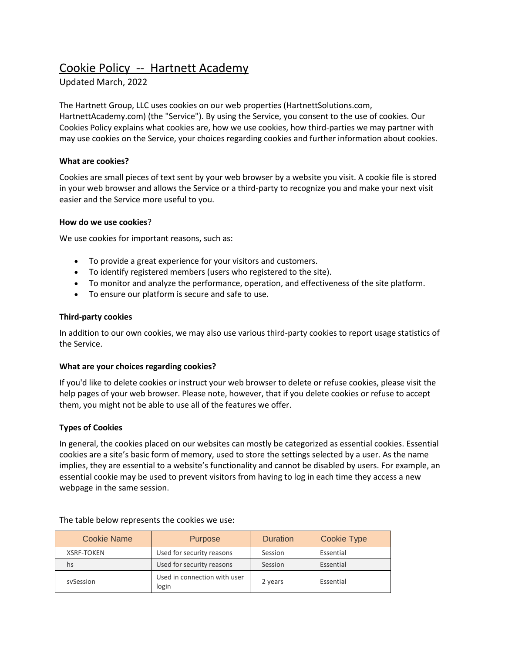# Cookie Policy -- Hartnett Academy

# Updated March, 2022

The Hartnett Group, LLC uses cookies on our web properties (HartnettSolutions.com, HartnettAcademy.com) (the "Service"). By using the Service, you consent to the use of cookies. Our Cookies Policy explains what cookies are, how we use cookies, how third-parties we may partner with may use cookies on the Service, your choices regarding cookies and further information about cookies.

### **What are cookies?**

Cookies are small pieces of text sent by your web browser by a website you visit. A cookie file is stored in your web browser and allows the Service or a third-party to recognize you and make your next visit easier and the Service more useful to you.

#### **How do we use cookies**?

We use cookies for important reasons, such as:

- To provide a great experience for your visitors and customers.
- To identify registered members (users who registered to the site).
- To monitor and analyze the performance, operation, and effectiveness of the site platform.
- To ensure our platform is secure and safe to use.

### **Third-party cookies**

In addition to our own cookies, we may also use various third-party cookies to report usage statistics of the Service.

#### **What are your choices regarding cookies?**

If you'd like to delete cookies or instruct your web browser to delete or refuse cookies, please visit the help pages of your web browser. Please note, however, that if you delete cookies or refuse to accept them, you might not be able to use all of the features we offer.

## **Types of Cookies**

In general, the cookies placed on our websites can mostly be categorized as essential cookies. Essential cookies are a site's basic form of memory, used to store the settings selected by a user. As the name implies, they are essential to a website's functionality and cannot be disabled by users. For example, an essential cookie may be used to prevent visitors from having to log in each time they access a new webpage in the same session.

| Cookie Name       | <b>Purpose</b>                        | <b>Duration</b> | <b>Cookie Type</b> |
|-------------------|---------------------------------------|-----------------|--------------------|
| <b>XSRF-TOKEN</b> | Used for security reasons             | Session         | Essential          |
| hs                | Used for security reasons             | Session         | Essential          |
| sySession         | Used in connection with user<br>login | 2 years         | Essential          |

The table below represents the cookies we use: